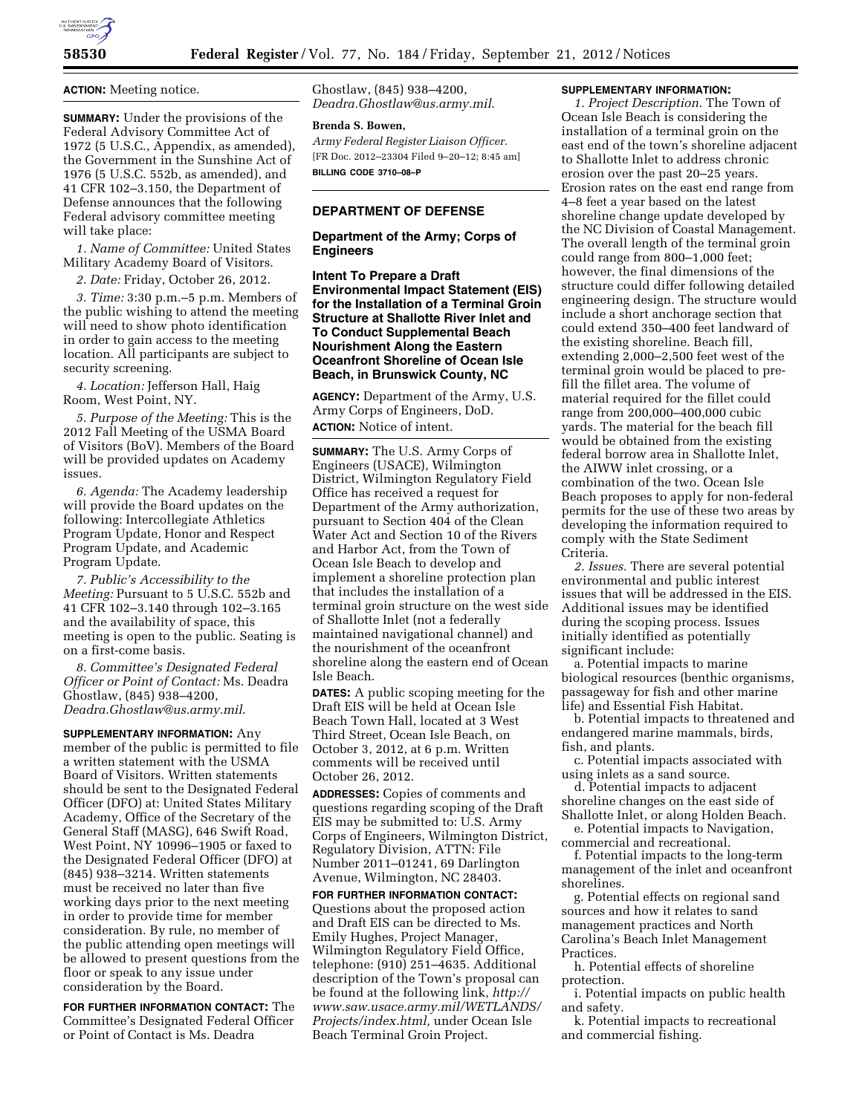

**ACTION:** Meeting notice.

**SUMMARY:** Under the provisions of the Federal Advisory Committee Act of 1972 (5 U.S.C., Appendix, as amended), the Government in the Sunshine Act of 1976 (5 U.S.C. 552b, as amended), and 41 CFR 102–3.150, the Department of Defense announces that the following Federal advisory committee meeting will take place:

*1. Name of Committee:* United States Military Academy Board of Visitors.

*2. Date:* Friday, October 26, 2012.

*3. Time:* 3:30 p.m.–5 p.m. Members of the public wishing to attend the meeting will need to show photo identification in order to gain access to the meeting location. All participants are subject to security screening.

*4. Location:* Jefferson Hall, Haig Room, West Point, NY.

*5. Purpose of the Meeting:* This is the 2012 Fall Meeting of the USMA Board of Visitors (BoV). Members of the Board will be provided updates on Academy issues.

*6. Agenda:* The Academy leadership will provide the Board updates on the following: Intercollegiate Athletics Program Update, Honor and Respect Program Update, and Academic Program Update.

*7. Public's Accessibility to the Meeting:* Pursuant to 5 U.S.C. 552b and 41 CFR 102–3.140 through 102–3.165 and the availability of space, this meeting is open to the public. Seating is on a first-come basis.

*8. Committee's Designated Federal Officer or Point of Contact:* Ms. Deadra Ghostlaw, (845) 938–4200, *[Deadra.Ghostlaw@us.army.mil](mailto:Deadra.Ghostlaw@us.army.mil)*.

**SUPPLEMENTARY INFORMATION:** Any member of the public is permitted to file a written statement with the USMA Board of Visitors. Written statements should be sent to the Designated Federal Officer (DFO) at: United States Military Academy, Office of the Secretary of the General Staff (MASG), 646 Swift Road, West Point, NY 10996–1905 or faxed to the Designated Federal Officer (DFO) at (845) 938–3214. Written statements must be received no later than five working days prior to the next meeting in order to provide time for member consideration. By rule, no member of the public attending open meetings will be allowed to present questions from the floor or speak to any issue under consideration by the Board.

**FOR FURTHER INFORMATION CONTACT:** The Committee's Designated Federal Officer or Point of Contact is Ms. Deadra

Ghostlaw, (845) 938–4200, *[Deadra.Ghostlaw@us.army.mil](mailto:Deadra.Ghostlaw@us.army.mil)*.

### **Brenda S. Bowen,**

*Army Federal Register Liaison Officer.*  [FR Doc. 2012–23304 Filed 9–20–12; 8:45 am] **BILLING CODE 3710–08–P** 

## **DEPARTMENT OF DEFENSE**

**Department of the Army; Corps of Engineers** 

**Intent To Prepare a Draft Environmental Impact Statement (EIS) for the Installation of a Terminal Groin Structure at Shallotte River Inlet and To Conduct Supplemental Beach Nourishment Along the Eastern Oceanfront Shoreline of Ocean Isle Beach, in Brunswick County, NC** 

**AGENCY:** Department of the Army, U.S. Army Corps of Engineers, DoD. **ACTION:** Notice of intent.

**SUMMARY:** The U.S. Army Corps of Engineers (USACE), Wilmington District, Wilmington Regulatory Field Office has received a request for Department of the Army authorization, pursuant to Section 404 of the Clean Water Act and Section 10 of the Rivers and Harbor Act, from the Town of Ocean Isle Beach to develop and implement a shoreline protection plan that includes the installation of a terminal groin structure on the west side of Shallotte Inlet (not a federally maintained navigational channel) and the nourishment of the oceanfront shoreline along the eastern end of Ocean Isle Beach.

**DATES:** A public scoping meeting for the Draft EIS will be held at Ocean Isle Beach Town Hall, located at 3 West Third Street, Ocean Isle Beach, on October 3, 2012, at 6 p.m. Written comments will be received until October 26, 2012.

**ADDRESSES:** Copies of comments and questions regarding scoping of the Draft EIS may be submitted to: U.S. Army Corps of Engineers, Wilmington District, Regulatory Division, ATTN: File Number 2011–01241, 69 Darlington Avenue, Wilmington, NC 28403.

**FOR FURTHER INFORMATION CONTACT:**  Questions about the proposed action and Draft EIS can be directed to Ms. Emily Hughes, Project Manager, Wilmington Regulatory Field Office, telephone: (910) 251–4635. Additional description of the Town's proposal can be found at the following link, *[http://](http://www.saw.usace.army.mil/WETLANDS/Projects/index.html) [www.saw.usace.army.mil/WETLANDS/](http://www.saw.usace.army.mil/WETLANDS/Projects/index.html)  [Projects/index.html,](http://www.saw.usace.army.mil/WETLANDS/Projects/index.html)* under Ocean Isle Beach Terminal Groin Project.

#### **SUPPLEMENTARY INFORMATION:**

*1. Project Description*. The Town of Ocean Isle Beach is considering the installation of a terminal groin on the east end of the town's shoreline adjacent to Shallotte Inlet to address chronic erosion over the past 20–25 years. Erosion rates on the east end range from 4–8 feet a year based on the latest shoreline change update developed by the NC Division of Coastal Management. The overall length of the terminal groin could range from 800–1,000 feet; however, the final dimensions of the structure could differ following detailed engineering design. The structure would include a short anchorage section that could extend 350–400 feet landward of the existing shoreline. Beach fill, extending 2,000–2,500 feet west of the terminal groin would be placed to prefill the fillet area. The volume of material required for the fillet could range from 200,000–400,000 cubic yards. The material for the beach fill would be obtained from the existing federal borrow area in Shallotte Inlet, the AIWW inlet crossing, or a combination of the two. Ocean Isle Beach proposes to apply for non-federal permits for the use of these two areas by developing the information required to comply with the State Sediment Criteria.

*2. Issues.* There are several potential environmental and public interest issues that will be addressed in the EIS. Additional issues may be identified during the scoping process. Issues initially identified as potentially significant include:

a. Potential impacts to marine biological resources (benthic organisms, passageway for fish and other marine life) and Essential Fish Habitat.

b. Potential impacts to threatened and endangered marine mammals, birds, fish, and plants.

c. Potential impacts associated with using inlets as a sand source.

d. Potential impacts to adjacent shoreline changes on the east side of Shallotte Inlet, or along Holden Beach.

e. Potential impacts to Navigation, commercial and recreational.

f. Potential impacts to the long-term management of the inlet and oceanfront shorelines.

g. Potential effects on regional sand sources and how it relates to sand management practices and North Carolina's Beach Inlet Management Practices.

h. Potential effects of shoreline protection.

i. Potential impacts on public health and safety.

k. Potential impacts to recreational and commercial fishing.